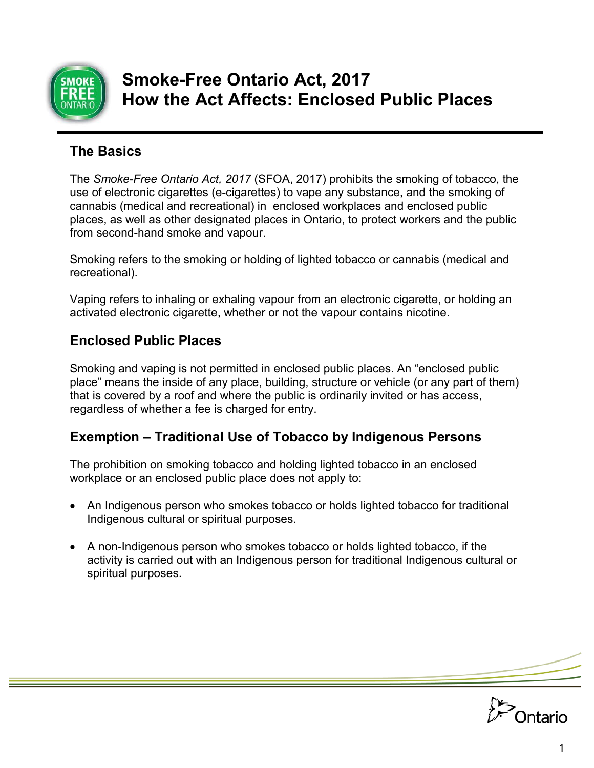

# **Smoke-Free Ontario Act, 2017 How the Act Affects: Enclosed Public Places**

## **The Basics**

The *Smoke-Free Ontario Act, 2017* (SFOA, 2017) prohibits the smoking of tobacco, the use of electronic cigarettes (e-cigarettes) to vape any substance, and the smoking of cannabis (medical and recreational) in enclosed workplaces and enclosed public places, as well as other designated places in Ontario, to protect workers and the public from second-hand smoke and vapour.

Smoking refers to the smoking or holding of lighted tobacco or cannabis (medical and recreational).

Vaping refers to inhaling or exhaling vapour from an electronic cigarette, or holding an activated electronic cigarette, whether or not the vapour contains nicotine.

## **Enclosed Public Places**

Smoking and vaping is not permitted in enclosed public places. An "enclosed public place" means the inside of any place, building, structure or vehicle (or any part of them) that is covered by a roof and where the public is ordinarily invited or has access, regardless of whether a fee is charged for entry.

# **Exemption – Traditional Use of Tobacco by Indigenous Persons**

The prohibition on smoking tobacco and holding lighted tobacco in an enclosed workplace or an enclosed public place does not apply to:

- An Indigenous person who smokes tobacco or holds lighted tobacco for traditional Indigenous cultural or spiritual purposes.
- A non-Indigenous person who smokes tobacco or holds lighted tobacco, if the activity is carried out with an Indigenous person for traditional Indigenous cultural or spiritual purposes.

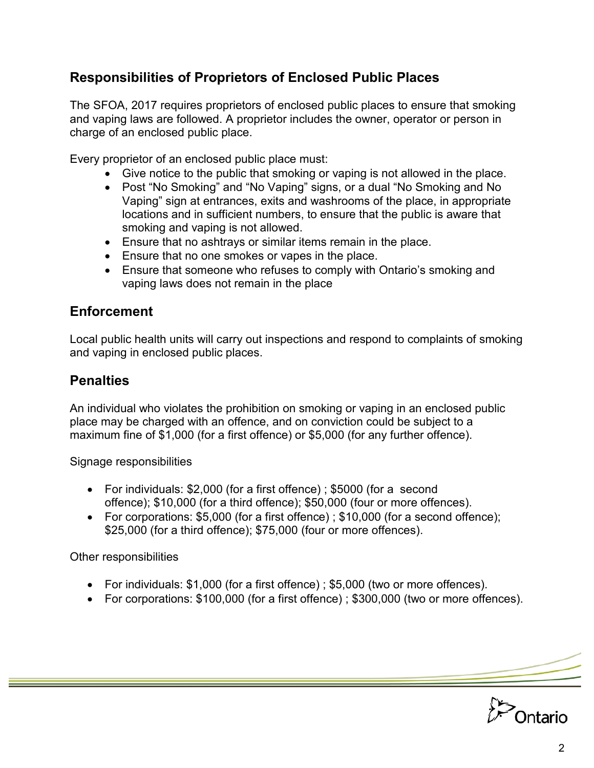## **Responsibilities of Proprietors of Enclosed Public Places**

The SFOA, 2017 requires proprietors of enclosed public places to ensure that smoking and vaping laws are followed. A proprietor includes the owner, operator or person in charge of an enclosed public place.

Every proprietor of an enclosed public place must:

- Give notice to the public that smoking or vaping is not allowed in the place.
- Post "No Smoking" and "No Vaping" signs, or a dual "No Smoking and No Vaping" sign at entrances, exits and washrooms of the place, in appropriate locations and in sufficient numbers, to ensure that the public is aware that smoking and vaping is not allowed.
- Ensure that no ashtrays or similar items remain in the place.
- Ensure that no one smokes or vapes in the place.
- Ensure that someone who refuses to comply with Ontario's smoking and vaping laws does not remain in the place

### **Enforcement**

Local public health units will carry out inspections and respond to complaints of smoking and vaping in enclosed public places.

### **Penalties**

An individual who violates the prohibition on smoking or vaping in an enclosed public place may be charged with an offence, and on conviction could be subject to a maximum fine of \$1,000 (for a first offence) or \$5,000 (for any further offence).

Signage responsibilities

- For individuals: \$2,000 (for a first offence) ; \$5000 (for a second offence); \$10,000 (for a third offence); \$50,000 (four or more offences).
- For corporations: \$5,000 (for a first offence) ; \$10,000 (for a second offence); \$25,000 (for a third offence); \$75,000 (four or more offences).

Other responsibilities

- For individuals: \$1,000 (for a first offence) ; \$5,000 (two or more offences).
- For corporations: \$100,000 (for a first offence) ; \$300,000 (two or more offences).